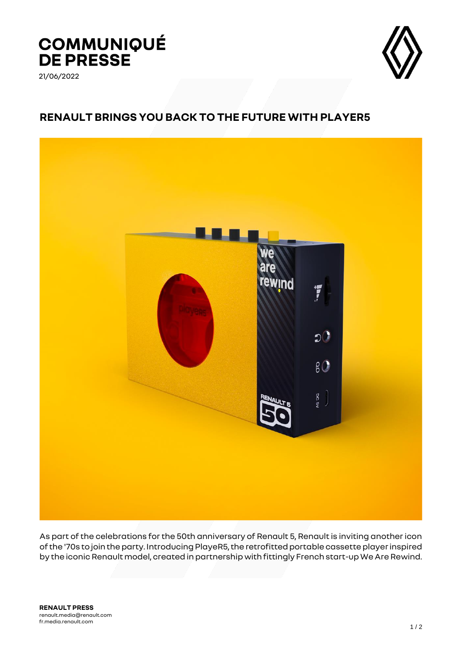## **COMMUNIQUÉ<br>DE PRESSE**

21/06/2022



## **RENAULT BRINGS YOU BACK TO THE FUTURE WITH PLAYER5**



As part of the celebrations for the 50th anniversary of Renault 5, Renault is inviting another icon of the '70s to join the party. Introducing PlayeR5, the retrofitted portable cassette player inspired by the iconic Renault model, created in partnership with fittingly French start-up We Are Rewind.